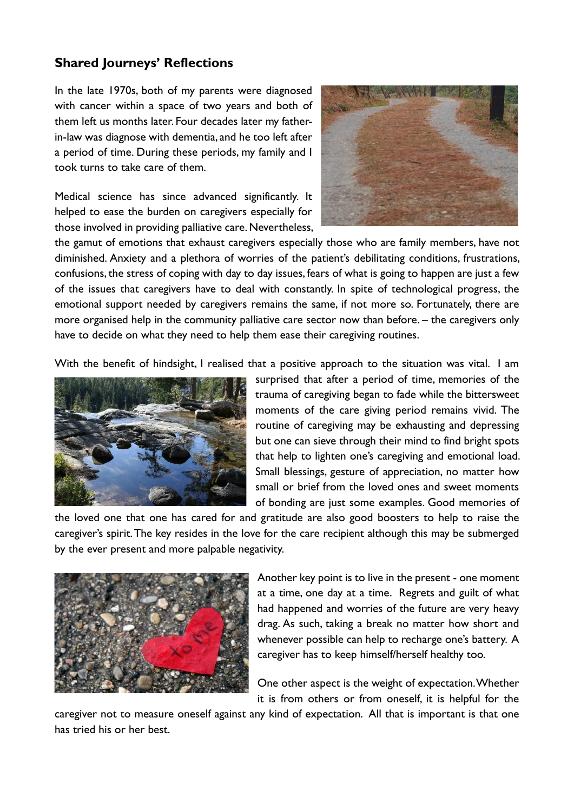## **Shared Journeys' Reflections**

In the late 1970s, both of my parents were diagnosed with cancer within a space of two years and both of them left us months later. Four decades later my fatherin-law was diagnose with dementia, and he too left after a period of time. During these periods, my family and I took turns to take care of them.

Medical science has since advanced significantly. It helped to ease the burden on caregivers especially for those involved in providing palliative care. Nevertheless,



the gamut of emotions that exhaust caregivers especially those who are family members, have not diminished. Anxiety and a plethora of worries of the patient's debilitating conditions, frustrations, confusions, the stress of coping with day to day issues, fears of what is going to happen are just a few of the issues that caregivers have to deal with constantly. In spite of technological progress, the emotional support needed by caregivers remains the same, if not more so. Fortunately, there are more organised help in the community palliative care sector now than before. – the caregivers only have to decide on what they need to help them ease their caregiving routines.

With the benefit of hindsight, I realised that a positive approach to the situation was vital. I am



surprised that after a period of time, memories of the trauma of caregiving began to fade while the bittersweet moments of the care giving period remains vivid. The routine of caregiving may be exhausting and depressing but one can sieve through their mind to find bright spots that help to lighten one's caregiving and emotional load. Small blessings, gesture of appreciation, no matter how small or brief from the loved ones and sweet moments of bonding are just some examples. Good memories of

the loved one that one has cared for and gratitude are also good boosters to help to raise the caregiver's spirit. The key resides in the love for the care recipient although this may be submerged by the ever present and more palpable negativity.



Another key point is to live in the present - one moment at a time, one day at a time. Regrets and guilt of what had happened and worries of the future are very heavy drag. As such, taking a break no matter how short and whenever possible can help to recharge one's battery. A caregiver has to keep himself/herself healthy too.

One other aspect is the weight of expectation. Whether it is from others or from oneself, it is helpful for the

caregiver not to measure oneself against any kind of expectation. All that is important is that one has tried his or her best.